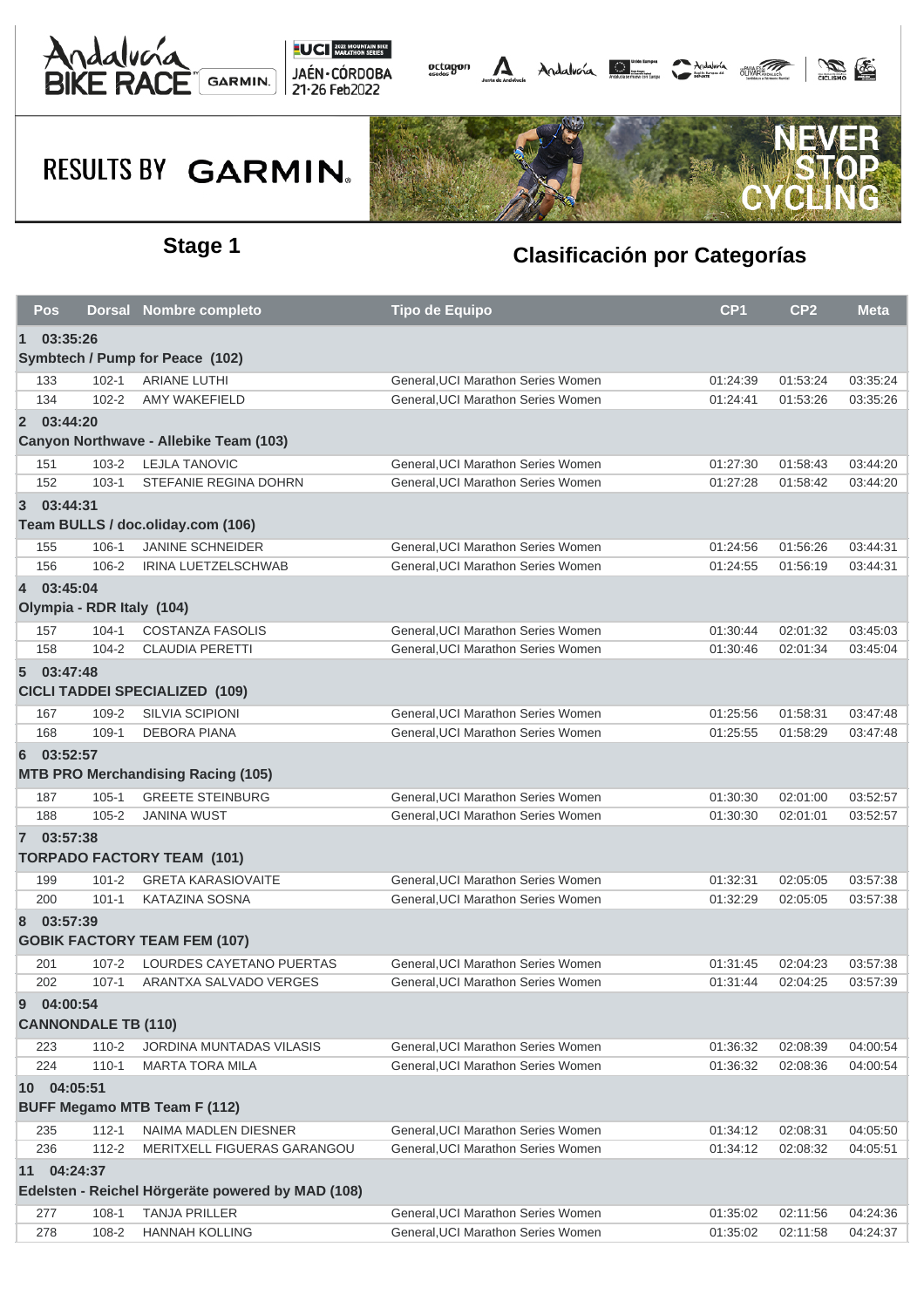



## **RESULTS BY GARMIN.**



### **Stage 1 Clasificación por Categorías**

| <b>Pos</b>                                        |                            | <b>Dorsal Nombre completo</b>             | <b>Tipo de Equipo</b>              | CP <sub>1</sub> | CP <sub>2</sub> | <b>Meta</b> |  |  |  |  |
|---------------------------------------------------|----------------------------|-------------------------------------------|------------------------------------|-----------------|-----------------|-------------|--|--|--|--|
| $\mathbf 1$                                       | 03:35:26                   |                                           |                                    |                 |                 |             |  |  |  |  |
|                                                   |                            | Symbtech / Pump for Peace (102)           |                                    |                 |                 |             |  |  |  |  |
| 133                                               | $102 - 1$                  | <b>ARIANE LUTHI</b>                       | General, UCI Marathon Series Women | 01:24:39        | 01:53:24        | 03:35:24    |  |  |  |  |
| 134                                               | $102 - 2$                  | AMY WAKEFIELD                             | General.UCI Marathon Series Women  | 01:24:41        | 01:53:26        | 03:35:26    |  |  |  |  |
|                                                   | 2 03:44:20                 |                                           |                                    |                 |                 |             |  |  |  |  |
|                                                   |                            | Canyon Northwave - Allebike Team (103)    |                                    |                 |                 |             |  |  |  |  |
| 151                                               | $103 - 2$                  | <b>LEJLA TANOVIC</b>                      | General, UCI Marathon Series Women | 01:27:30        | 01:58:43        | 03:44:20    |  |  |  |  |
| 152                                               | $103 - 1$                  | STEFANIE REGINA DOHRN                     | General, UCI Marathon Series Women | 01:27:28        | 01:58:42        | 03:44:20    |  |  |  |  |
| $3^{\circ}$                                       | 03:44:31                   |                                           |                                    |                 |                 |             |  |  |  |  |
|                                                   |                            | Team BULLS / doc.oliday.com (106)         |                                    |                 |                 |             |  |  |  |  |
| 155                                               | $106 - 1$                  | <b>JANINE SCHNEIDER</b>                   | General, UCI Marathon Series Women | 01:24:56        | 01:56:26        | 03:44:31    |  |  |  |  |
| 156                                               | 106-2                      | IRINA LUETZELSCHWAB                       | General, UCI Marathon Series Women | 01:24:55        | 01:56:19        | 03:44:31    |  |  |  |  |
|                                                   | 4 03:45:04                 |                                           |                                    |                 |                 |             |  |  |  |  |
|                                                   | Olympia - RDR Italy (104)  |                                           |                                    |                 |                 |             |  |  |  |  |
| 157                                               | $104 - 1$                  | <b>COSTANZA FASOLIS</b>                   | General, UCI Marathon Series Women | 01:30:44        | 02:01:32        | 03:45:03    |  |  |  |  |
| 158                                               | $104 - 2$                  | CLAUDIA PERETTI                           | General, UCI Marathon Series Women | 01:30:46        | 02:01:34        | 03:45:04    |  |  |  |  |
|                                                   | 5 03:47:48                 |                                           |                                    |                 |                 |             |  |  |  |  |
| <b>CICLI TADDEI SPECIALIZED (109)</b>             |                            |                                           |                                    |                 |                 |             |  |  |  |  |
| 167                                               | 109-2                      | <b>SILVIA SCIPIONI</b>                    | General, UCI Marathon Series Women | 01:25:56        | 01:58:31        | 03:47:48    |  |  |  |  |
| 168                                               | $109-1$                    | <b>DEBORA PIANA</b>                       | General, UCI Marathon Series Women | 01:25:55        | 01:58:29        | 03:47:48    |  |  |  |  |
| 6                                                 | 03:52:57                   |                                           |                                    |                 |                 |             |  |  |  |  |
|                                                   |                            | <b>MTB PRO Merchandising Racing (105)</b> |                                    |                 |                 |             |  |  |  |  |
| 187                                               | $105 - 1$                  | <b>GREETE STEINBURG</b>                   | General, UCI Marathon Series Women | 01:30:30        | 02:01:00        | 03:52:57    |  |  |  |  |
| 188                                               | $105 - 2$                  | <b>JANINA WUST</b>                        | General, UCI Marathon Series Women | 01:30:30        | 02:01:01        | 03:52:57    |  |  |  |  |
|                                                   | 7 03:57:38                 |                                           |                                    |                 |                 |             |  |  |  |  |
|                                                   |                            | <b>TORPADO FACTORY TEAM (101)</b>         |                                    |                 |                 |             |  |  |  |  |
| 199                                               | $101 - 2$                  | <b>GRETA KARASIOVAITE</b>                 | General, UCI Marathon Series Women | 01:32:31        | 02:05:05        | 03:57:38    |  |  |  |  |
| 200                                               | $101 - 1$                  | <b>KATAZINA SOSNA</b>                     | General, UCI Marathon Series Women | 01:32:29        | 02:05:05        | 03:57:38    |  |  |  |  |
| 8                                                 | 03:57:39                   |                                           |                                    |                 |                 |             |  |  |  |  |
|                                                   |                            | <b>GOBIK FACTORY TEAM FEM (107)</b>       |                                    |                 |                 |             |  |  |  |  |
| 201                                               | $107 - 2$                  | LOURDES CAYETANO PUERTAS                  | General, UCI Marathon Series Women | 01:31:45        | 02:04:23        | 03:57:38    |  |  |  |  |
| 202                                               | $107 - 1$                  | ARANTXA SALVADO VERGES                    | General, UCI Marathon Series Women | 01:31:44        | 02:04:25        | 03:57:39    |  |  |  |  |
| 9                                                 | 04:00:54                   |                                           |                                    |                 |                 |             |  |  |  |  |
|                                                   | <b>CANNONDALE TB (110)</b> |                                           |                                    |                 |                 |             |  |  |  |  |
| 223                                               | $110 - 2$                  | <b>JORDINA MUNTADAS VILASIS</b>           | General, UCI Marathon Series Women | 01:36:32        | 02:08:39        | 04:00:54    |  |  |  |  |
| 224                                               | $110 - 1$                  | <b>MARTA TORA MILA</b>                    | General.UCI Marathon Series Women  | 01:36:32        | 02:08:36        | 04:00:54    |  |  |  |  |
|                                                   | 10 04:05:51                |                                           |                                    |                 |                 |             |  |  |  |  |
| <b>BUFF Megamo MTB Team F (112)</b>               |                            |                                           |                                    |                 |                 |             |  |  |  |  |
| 235                                               | $112 - 1$                  | NAIMA MADLEN DIESNER                      | General.UCI Marathon Series Women  | 01:34:12        | 02:08:31        | 04:05:50    |  |  |  |  |
| 236                                               | $112 - 2$                  | MERITXELL FIGUERAS GARANGOU               | General, UCI Marathon Series Women | 01:34:12        | 02:08:32        | 04:05:51    |  |  |  |  |
| 11                                                | 04:24:37                   |                                           |                                    |                 |                 |             |  |  |  |  |
| Edelsten - Reichel Hörgeräte powered by MAD (108) |                            |                                           |                                    |                 |                 |             |  |  |  |  |
| 277                                               | $108 - 1$                  | <b>TANJA PRILLER</b>                      | General, UCI Marathon Series Women | 01:35:02        | 02:11:56        | 04:24:36    |  |  |  |  |
| 278                                               | 108-2                      | <b>HANNAH KOLLING</b>                     | General, UCI Marathon Series Women | 01:35:02        | 02:11:58        | 04:24:37    |  |  |  |  |